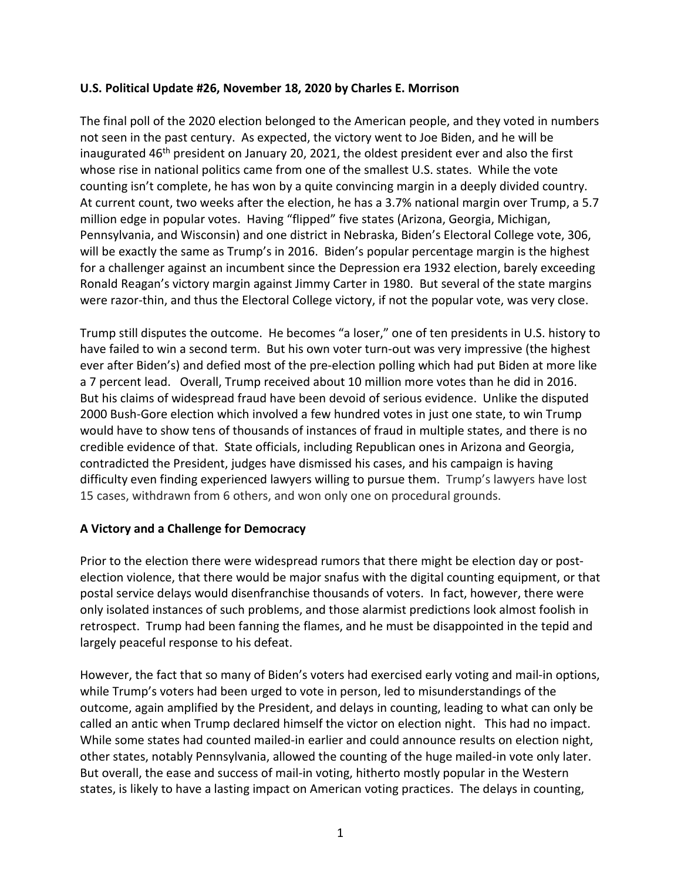## **U.S. Political Update #26, November 18, 2020 by Charles E. Morrison**

The final poll of the 2020 election belonged to the American people, and they voted in numbers not seen in the past century. As expected, the victory went to Joe Biden, and he will be inaugurated 46<sup>th</sup> president on January 20, 2021, the oldest president ever and also the first whose rise in national politics came from one of the smallest U.S. states. While the vote counting isn't complete, he has won by a quite convincing margin in a deeply divided country. At current count, two weeks after the election, he has a 3.7% national margin over Trump, a 5.7 million edge in popular votes. Having "flipped" five states (Arizona, Georgia, Michigan, Pennsylvania, and Wisconsin) and one district in Nebraska, Biden's Electoral College vote, 306, will be exactly the same as Trump's in 2016. Biden's popular percentage margin is the highest for a challenger against an incumbent since the Depression era 1932 election, barely exceeding Ronald Reagan's victory margin against Jimmy Carter in 1980. But several of the state margins were razor-thin, and thus the Electoral College victory, if not the popular vote, was very close.

Trump still disputes the outcome. He becomes "a loser," one of ten presidents in U.S. history to have failed to win a second term. But his own voter turn-out was very impressive (the highest ever after Biden's) and defied most of the pre-election polling which had put Biden at more like a 7 percent lead. Overall, Trump received about 10 million more votes than he did in 2016. But his claims of widespread fraud have been devoid of serious evidence. Unlike the disputed 2000 Bush-Gore election which involved a few hundred votes in just one state, to win Trump would have to show tens of thousands of instances of fraud in multiple states, and there is no credible evidence of that. State officials, including Republican ones in Arizona and Georgia, contradicted the President, judges have dismissed his cases, and his campaign is having difficulty even finding experienced lawyers willing to pursue them. Trump's lawyers have lost 15 cases, withdrawn from 6 others, and won only one on procedural grounds.

# **A Victory and a Challenge for Democracy**

Prior to the election there were widespread rumors that there might be election day or postelection violence, that there would be major snafus with the digital counting equipment, or that postal service delays would disenfranchise thousands of voters. In fact, however, there were only isolated instances of such problems, and those alarmist predictions look almost foolish in retrospect. Trump had been fanning the flames, and he must be disappointed in the tepid and largely peaceful response to his defeat.

However, the fact that so many of Biden's voters had exercised early voting and mail-in options, while Trump's voters had been urged to vote in person, led to misunderstandings of the outcome, again amplified by the President, and delays in counting, leading to what can only be called an antic when Trump declared himself the victor on election night. This had no impact. While some states had counted mailed-in earlier and could announce results on election night, other states, notably Pennsylvania, allowed the counting of the huge mailed-in vote only later. But overall, the ease and success of mail-in voting, hitherto mostly popular in the Western states, is likely to have a lasting impact on American voting practices. The delays in counting,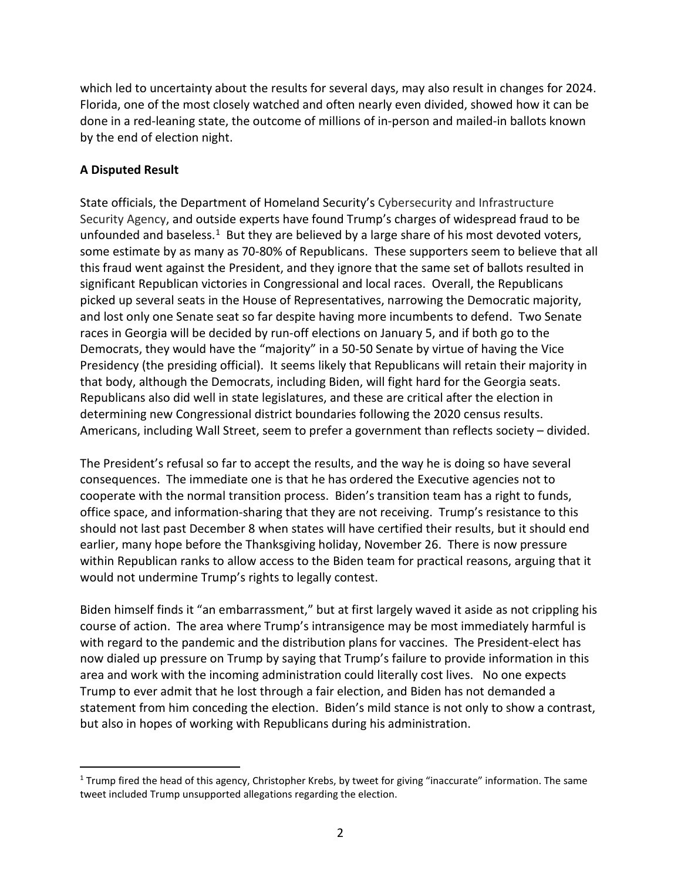which led to uncertainty about the results for several days, may also result in changes for 2024. Florida, one of the most closely watched and often nearly even divided, showed how it can be done in a red-leaning state, the outcome of millions of in-person and mailed-in ballots known by the end of election night.

## **A Disputed Result**

State officials, the Department of Homeland Security's Cybersecurity and Infrastructure Security Agency, and outside experts have found Trump's charges of widespread fraud to be unfounded and baseless.<sup>[1](#page-1-0)</sup> But they are believed by a large share of his most devoted voters, some estimate by as many as 70-80% of Republicans. These supporters seem to believe that all this fraud went against the President, and they ignore that the same set of ballots resulted in significant Republican victories in Congressional and local races. Overall, the Republicans picked up several seats in the House of Representatives, narrowing the Democratic majority, and lost only one Senate seat so far despite having more incumbents to defend. Two Senate races in Georgia will be decided by run-off elections on January 5, and if both go to the Democrats, they would have the "majority" in a 50-50 Senate by virtue of having the Vice Presidency (the presiding official). It seems likely that Republicans will retain their majority in that body, although the Democrats, including Biden, will fight hard for the Georgia seats. Republicans also did well in state legislatures, and these are critical after the election in determining new Congressional district boundaries following the 2020 census results. Americans, including Wall Street, seem to prefer a government than reflects society – divided.

The President's refusal so far to accept the results, and the way he is doing so have several consequences. The immediate one is that he has ordered the Executive agencies not to cooperate with the normal transition process. Biden's transition team has a right to funds, office space, and information-sharing that they are not receiving. Trump's resistance to this should not last past December 8 when states will have certified their results, but it should end earlier, many hope before the Thanksgiving holiday, November 26. There is now pressure within Republican ranks to allow access to the Biden team for practical reasons, arguing that it would not undermine Trump's rights to legally contest.

Biden himself finds it "an embarrassment," but at first largely waved it aside as not crippling his course of action. The area where Trump's intransigence may be most immediately harmful is with regard to the pandemic and the distribution plans for vaccines. The President-elect has now dialed up pressure on Trump by saying that Trump's failure to provide information in this area and work with the incoming administration could literally cost lives. No one expects Trump to ever admit that he lost through a fair election, and Biden has not demanded a statement from him conceding the election. Biden's mild stance is not only to show a contrast, but also in hopes of working with Republicans during his administration.

<span id="page-1-0"></span> $1$  Trump fired the head of this agency, Christopher Krebs, by tweet for giving "inaccurate" information. The same tweet included Trump unsupported allegations regarding the election.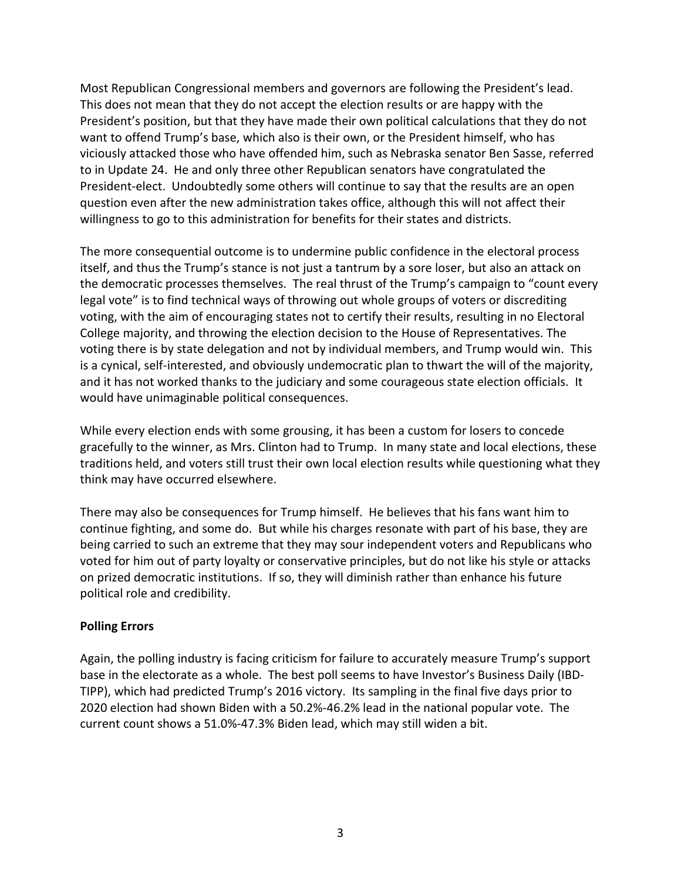Most Republican Congressional members and governors are following the President's lead. This does not mean that they do not accept the election results or are happy with the President's position, but that they have made their own political calculations that they do not want to offend Trump's base, which also is their own, or the President himself, who has viciously attacked those who have offended him, such as Nebraska senator Ben Sasse, referred to in Update 24. He and only three other Republican senators have congratulated the President-elect. Undoubtedly some others will continue to say that the results are an open question even after the new administration takes office, although this will not affect their willingness to go to this administration for benefits for their states and districts.

The more consequential outcome is to undermine public confidence in the electoral process itself, and thus the Trump's stance is not just a tantrum by a sore loser, but also an attack on the democratic processes themselves. The real thrust of the Trump's campaign to "count every legal vote" is to find technical ways of throwing out whole groups of voters or discrediting voting, with the aim of encouraging states not to certify their results, resulting in no Electoral College majority, and throwing the election decision to the House of Representatives. The voting there is by state delegation and not by individual members, and Trump would win. This is a cynical, self-interested, and obviously undemocratic plan to thwart the will of the majority, and it has not worked thanks to the judiciary and some courageous state election officials. It would have unimaginable political consequences.

While every election ends with some grousing, it has been a custom for losers to concede gracefully to the winner, as Mrs. Clinton had to Trump. In many state and local elections, these traditions held, and voters still trust their own local election results while questioning what they think may have occurred elsewhere.

There may also be consequences for Trump himself. He believes that his fans want him to continue fighting, and some do. But while his charges resonate with part of his base, they are being carried to such an extreme that they may sour independent voters and Republicans who voted for him out of party loyalty or conservative principles, but do not like his style or attacks on prized democratic institutions. If so, they will diminish rather than enhance his future political role and credibility.

# **Polling Errors**

Again, the polling industry is facing criticism for failure to accurately measure Trump's support base in the electorate as a whole. The best poll seems to have Investor's Business Daily (IBD-TIPP), which had predicted Trump's 2016 victory. Its sampling in the final five days prior to 2020 election had shown Biden with a 50.2%-46.2% lead in the national popular vote. The current count shows a 51.0%-47.3% Biden lead, which may still widen a bit.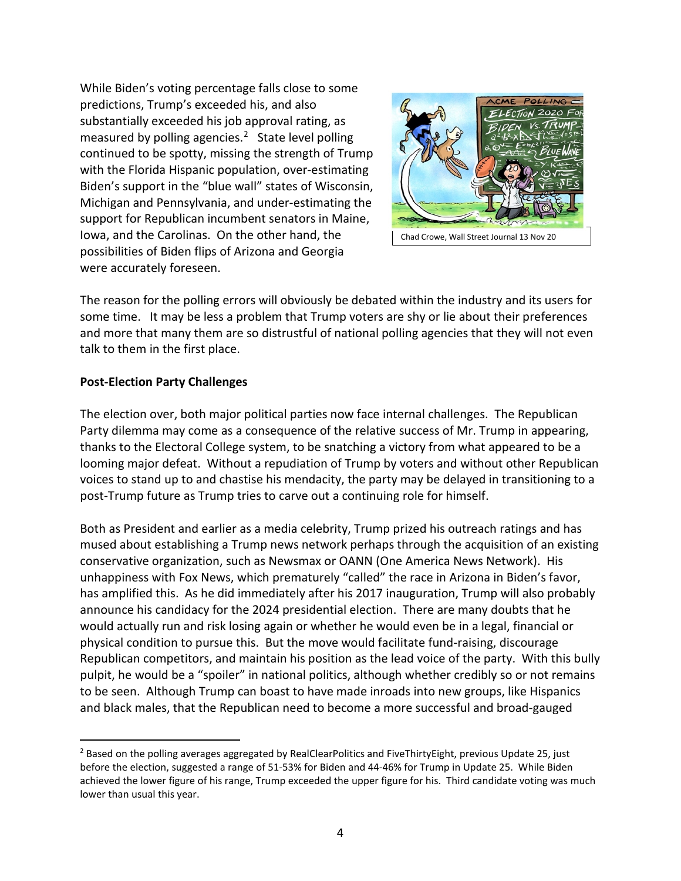While Biden's voting percentage falls close to some predictions, Trump's exceeded his, and also substantially exceeded his job approval rating, as measured by polling agencies. $<sup>2</sup>$  $<sup>2</sup>$  $<sup>2</sup>$  State level polling</sup> continued to be spotty, missing the strength of Trump with the Florida Hispanic population, over-estimating Biden's support in the "blue wall" states of Wisconsin, Michigan and Pennsylvania, and under-estimating the support for Republican incumbent senators in Maine, Iowa, and the Carolinas. On the other hand, the possibilities of Biden flips of Arizona and Georgia were accurately foreseen.



The reason for the polling errors will obviously be debated within the industry and its users for some time. It may be less a problem that Trump voters are shy or lie about their preferences and more that many them are so distrustful of national polling agencies that they will not even talk to them in the first place.

### **Post-Election Party Challenges**

The election over, both major political parties now face internal challenges. The Republican Party dilemma may come as a consequence of the relative success of Mr. Trump in appearing, thanks to the Electoral College system, to be snatching a victory from what appeared to be a looming major defeat. Without a repudiation of Trump by voters and without other Republican voices to stand up to and chastise his mendacity, the party may be delayed in transitioning to a post-Trump future as Trump tries to carve out a continuing role for himself.

Both as President and earlier as a media celebrity, Trump prized his outreach ratings and has mused about establishing a Trump news network perhaps through the acquisition of an existing conservative organization, such as Newsmax or OANN (One America News Network). His unhappiness with Fox News, which prematurely "called" the race in Arizona in Biden's favor, has amplified this. As he did immediately after his 2017 inauguration, Trump will also probably announce his candidacy for the 2024 presidential election. There are many doubts that he would actually run and risk losing again or whether he would even be in a legal, financial or physical condition to pursue this. But the move would facilitate fund-raising, discourage Republican competitors, and maintain his position as the lead voice of the party. With this bully pulpit, he would be a "spoiler" in national politics, although whether credibly so or not remains to be seen. Although Trump can boast to have made inroads into new groups, like Hispanics and black males, that the Republican need to become a more successful and broad-gauged

<span id="page-3-0"></span><sup>&</sup>lt;sup>2</sup> Based on the polling averages aggregated by RealClearPolitics and FiveThirtyEight, previous Update 25, just before the election, suggested a range of 51-53% for Biden and 44-46% for Trump in Update 25. While Biden achieved the lower figure of his range, Trump exceeded the upper figure for his. Third candidate voting was much lower than usual this year.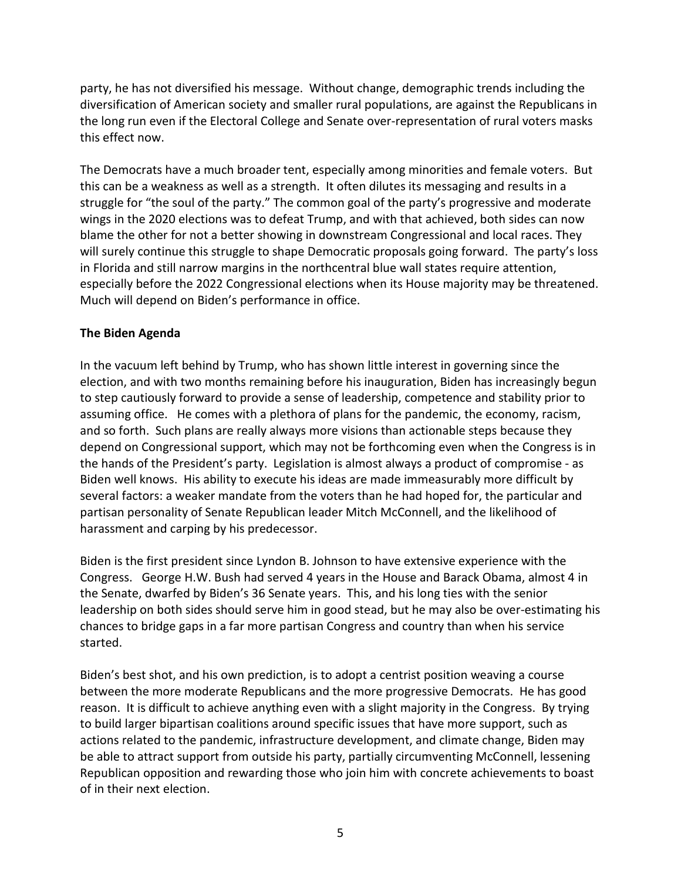party, he has not diversified his message. Without change, demographic trends including the diversification of American society and smaller rural populations, are against the Republicans in the long run even if the Electoral College and Senate over-representation of rural voters masks this effect now.

The Democrats have a much broader tent, especially among minorities and female voters. But this can be a weakness as well as a strength. It often dilutes its messaging and results in a struggle for "the soul of the party." The common goal of the party's progressive and moderate wings in the 2020 elections was to defeat Trump, and with that achieved, both sides can now blame the other for not a better showing in downstream Congressional and local races. They will surely continue this struggle to shape Democratic proposals going forward. The party's loss in Florida and still narrow margins in the northcentral blue wall states require attention, especially before the 2022 Congressional elections when its House majority may be threatened. Much will depend on Biden's performance in office.

### **The Biden Agenda**

In the vacuum left behind by Trump, who has shown little interest in governing since the election, and with two months remaining before his inauguration, Biden has increasingly begun to step cautiously forward to provide a sense of leadership, competence and stability prior to assuming office. He comes with a plethora of plans for the pandemic, the economy, racism, and so forth. Such plans are really always more visions than actionable steps because they depend on Congressional support, which may not be forthcoming even when the Congress is in the hands of the President's party. Legislation is almost always a product of compromise - as Biden well knows. His ability to execute his ideas are made immeasurably more difficult by several factors: a weaker mandate from the voters than he had hoped for, the particular and partisan personality of Senate Republican leader Mitch McConnell, and the likelihood of harassment and carping by his predecessor.

Biden is the first president since Lyndon B. Johnson to have extensive experience with the Congress. George H.W. Bush had served 4 years in the House and Barack Obama, almost 4 in the Senate, dwarfed by Biden's 36 Senate years. This, and his long ties with the senior leadership on both sides should serve him in good stead, but he may also be over-estimating his chances to bridge gaps in a far more partisan Congress and country than when his service started.

Biden's best shot, and his own prediction, is to adopt a centrist position weaving a course between the more moderate Republicans and the more progressive Democrats. He has good reason. It is difficult to achieve anything even with a slight majority in the Congress. By trying to build larger bipartisan coalitions around specific issues that have more support, such as actions related to the pandemic, infrastructure development, and climate change, Biden may be able to attract support from outside his party, partially circumventing McConnell, lessening Republican opposition and rewarding those who join him with concrete achievements to boast of in their next election.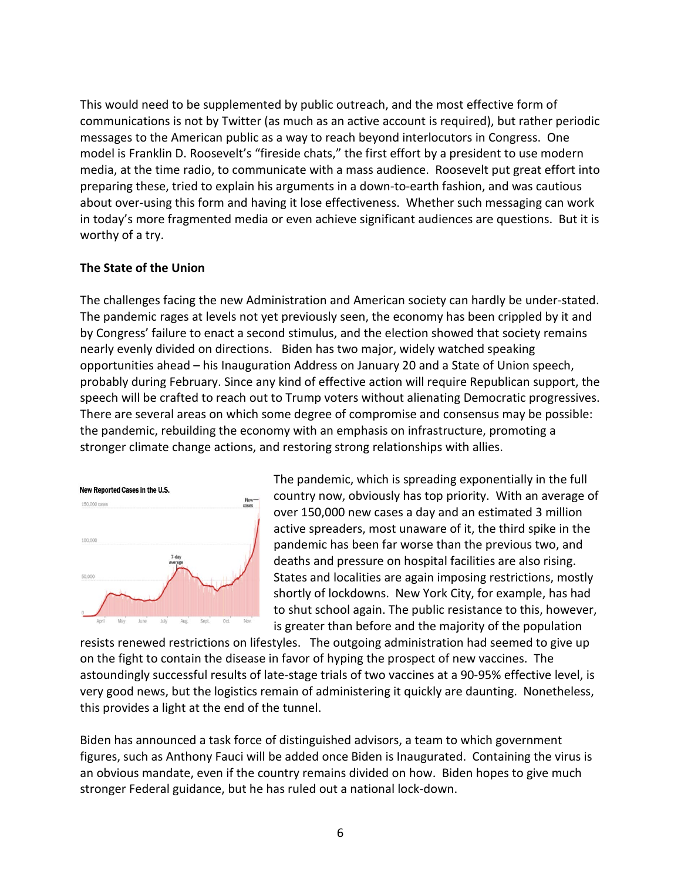This would need to be supplemented by public outreach, and the most effective form of communications is not by Twitter (as much as an active account is required), but rather periodic messages to the American public as a way to reach beyond interlocutors in Congress. One model is Franklin D. Roosevelt's "fireside chats," the first effort by a president to use modern media, at the time radio, to communicate with a mass audience. Roosevelt put great effort into preparing these, tried to explain his arguments in a down-to-earth fashion, and was cautious about over-using this form and having it lose effectiveness. Whether such messaging can work in today's more fragmented media or even achieve significant audiences are questions. But it is worthy of a try.

### **The State of the Union**

The challenges facing the new Administration and American society can hardly be under-stated. The pandemic rages at levels not yet previously seen, the economy has been crippled by it and by Congress' failure to enact a second stimulus, and the election showed that society remains nearly evenly divided on directions. Biden has two major, widely watched speaking opportunities ahead – his Inauguration Address on January 20 and a State of Union speech, probably during February. Since any kind of effective action will require Republican support, the speech will be crafted to reach out to Trump voters without alienating Democratic progressives. There are several areas on which some degree of compromise and consensus may be possible: the pandemic, rebuilding the economy with an emphasis on infrastructure, promoting a stronger climate change actions, and restoring strong relationships with allies.



The pandemic, which is spreading exponentially in the full country now, obviously has top priority. With an average of over 150,000 new cases a day and an estimated 3 million active spreaders, most unaware of it, the third spike in the pandemic has been far worse than the previous two, and deaths and pressure on hospital facilities are also rising. States and localities are again imposing restrictions, mostly shortly of lockdowns. New York City, for example, has had to shut school again. The public resistance to this, however, is greater than before and the majority of the population

resists renewed restrictions on lifestyles. The outgoing administration had seemed to give up on the fight to contain the disease in favor of hyping the prospect of new vaccines. The astoundingly successful results of late-stage trials of two vaccines at a 90-95% effective level, is very good news, but the logistics remain of administering it quickly are daunting. Nonetheless, this provides a light at the end of the tunnel.

Biden has announced a task force of distinguished advisors, a team to which government figures, such as Anthony Fauci will be added once Biden is Inaugurated. Containing the virus is an obvious mandate, even if the country remains divided on how. Biden hopes to give much stronger Federal guidance, but he has ruled out a national lock-down.